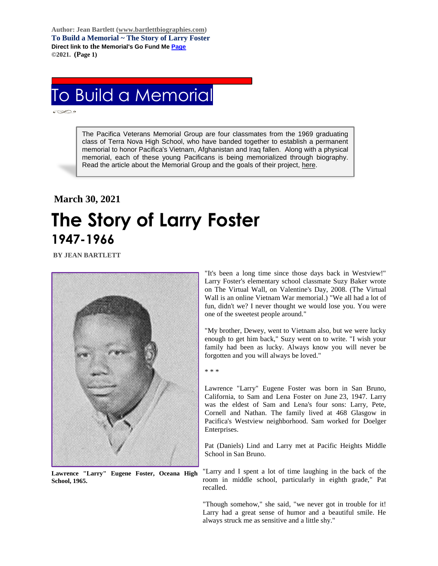**Author: Jean Bartlett [\(www.bartlettbiographies.com\)](http://www.bartlettbiographies.com/) To Build a Memorial ~ The Story of Larry Foster Direct link to the Memorial's Go Fund M[e Page](https://www.gofundme.com/f/uyf8r-25000?utm_source=customer&utm_medium=copy_link-tip&utm_campaign=p_cp+share-sheet) ©2021. (Page 1)**

## To Build a Memorial

The Pacifica Veterans Memorial Group are four classmates from the 1969 graduating class of Terra Nova High School, who have banded together to establish a permanent memorial to honor Pacifica's Vietnam, Afghanistan and Iraq fallen. Along with a physical memorial, each of these young Pacificans is being memorialized through biography. Read the article about the Memorial Group and the goals of their project, [here.](https://46d14119-b42d-469c-887f-083db2a10fe7.filesusr.com/ugd/5ea9c3_694b61f9c88d4750bf1a520233e8f35f.pdf)

## **March 30, 2021 The Story of Larry Foster 1947-1966**

**BY JEAN BARTLETT** 



**Lawrence "Larry" Eugene Foster, Oceana High School, 1965.**

"It's been a long time since those days back in Westview!" Larry Foster's elementary school classmate Suzy Baker wrote on The Virtual Wall, on Valentine's Day, 2008. (The Virtual Wall is an online Vietnam War memorial.) "We all had a lot of fun, didn't we? I never thought we would lose you. You were one of the sweetest people around."

"My brother, Dewey, went to Vietnam also, but we were lucky enough to get him back," Suzy went on to write. "I wish your family had been as lucky. Always know you will never be forgotten and you will always be loved."

\* \* \*

Lawrence "Larry" Eugene Foster was born in San Bruno, California, to Sam and Lena Foster on June 23, 1947. Larry was the eldest of Sam and Lena's four sons: Larry, Pete, Cornell and Nathan. The family lived at 468 Glasgow in Pacifica's Westview neighborhood. Sam worked for Doelger Enterprises.

Pat (Daniels) Lind and Larry met at Pacific Heights Middle School in San Bruno.

"Larry and I spent a lot of time laughing in the back of the room in middle school, particularly in eighth grade," Pat recalled.

"Though somehow," she said, "we never got in trouble for it! Larry had a great sense of humor and a beautiful smile. He always struck me as sensitive and a little shy."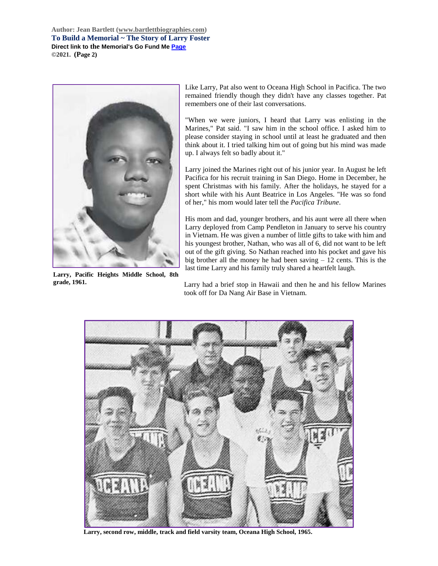**Author: Jean Bartlett [\(www.bartlettbiographies.com\)](http://www.bartlettbiographies.com/) To Build a Memorial ~ The Story of Larry Foster Direct link to the Memorial's Go Fund M[e Page](https://www.gofundme.com/f/uyf8r-25000?utm_source=customer&utm_medium=copy_link-tip&utm_campaign=p_cp+share-sheet) ©2021. (Page 2)**



**Larry, Pacific Heights Middle School, 8th grade, 1961.**

Like Larry, Pat also went to Oceana High School in Pacifica. The two remained friendly though they didn't have any classes together. Pat remembers one of their last conversations.

"When we were juniors, I heard that Larry was enlisting in the Marines," Pat said. "I saw him in the school office. I asked him to please consider staying in school until at least he graduated and then think about it. I tried talking him out of going but his mind was made up. I always felt so badly about it."

Larry joined the Marines right out of his junior year. In August he left Pacifica for his recruit training in San Diego. Home in December, he spent Christmas with his family. After the holidays, he stayed for a short while with his Aunt Beatrice in Los Angeles. "He was so fond of her," his mom would later tell the *Pacifica Tribune*.

His mom and dad, younger brothers, and his aunt were all there when Larry deployed from Camp Pendleton in January to serve his country in Vietnam. He was given a number of little gifts to take with him and his youngest brother, Nathan, who was all of 6, did not want to be left out of the gift giving. So Nathan reached into his pocket and gave his big brother all the money he had been saving  $-12$  cents. This is the last time Larry and his family truly shared a heartfelt laugh.

Larry had a brief stop in Hawaii and then he and his fellow Marines took off for Da Nang Air Base in Vietnam.



**Larry, second row, middle, track and field varsity team, Oceana High School, 1965.**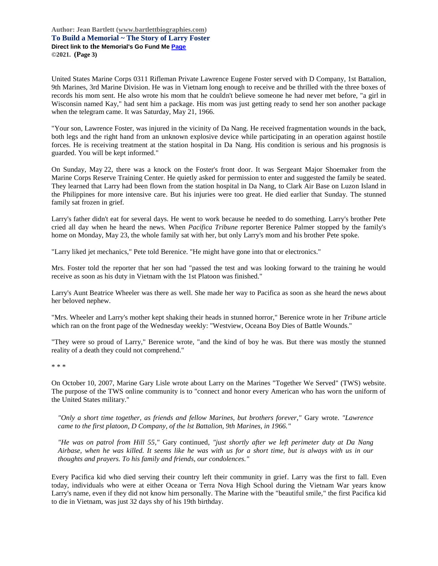**Author: Jean Bartlett [\(www.bartlettbiographies.com\)](http://www.bartlettbiographies.com/) To Build a Memorial ~ The Story of Larry Foster Direct link to the Memorial's Go Fund M[e Page](https://www.gofundme.com/f/uyf8r-25000?utm_source=customer&utm_medium=copy_link-tip&utm_campaign=p_cp+share-sheet) ©2021. (Page 3)**

United States Marine Corps 0311 Rifleman Private Lawrence Eugene Foster served with D Company, 1st Battalion, 9th Marines, 3rd Marine Division. He was in Vietnam long enough to receive and be thrilled with the three boxes of records his mom sent. He also wrote his mom that he couldn't believe someone he had never met before, "a girl in Wisconsin named Kay," had sent him a package. His mom was just getting ready to send her son another package when the telegram came. It was Saturday, May 21, 1966.

"Your son, Lawrence Foster, was injured in the vicinity of Da Nang. He received fragmentation wounds in the back, both legs and the right hand from an unknown explosive device while participating in an operation against hostile forces. He is receiving treatment at the station hospital in Da Nang. His condition is serious and his prognosis is guarded. You will be kept informed."

On Sunday, May 22, there was a knock on the Foster's front door. It was Sergeant Major Shoemaker from the Marine Corps Reserve Training Center. He quietly asked for permission to enter and suggested the family be seated. They learned that Larry had been flown from the station hospital in Da Nang, to Clark Air Base on Luzon Island in the Philippines for more intensive care. But his injuries were too great. He died earlier that Sunday. The stunned family sat frozen in grief.

Larry's father didn't eat for several days. He went to work because he needed to do something. Larry's brother Pete cried all day when he heard the news. When *Pacifica Tribune* reporter Berenice Palmer stopped by the family's home on Monday, May 23, the whole family sat with her, but only Larry's mom and his brother Pete spoke.

"Larry liked jet mechanics," Pete told Berenice. "He might have gone into that or electronics."

Mrs. Foster told the reporter that her son had "passed the test and was looking forward to the training he would receive as soon as his duty in Vietnam with the 1st Platoon was finished."

Larry's Aunt Beatrice Wheeler was there as well. She made her way to Pacifica as soon as she heard the news about her beloved nephew.

"Mrs. Wheeler and Larry's mother kept shaking their heads in stunned horror," Berenice wrote in her *Tribune* article which ran on the front page of the Wednesday weekly: "Westview, Oceana Boy Dies of Battle Wounds."

"They were so proud of Larry," Berenice wrote, "and the kind of boy he was. But there was mostly the stunned reality of a death they could not comprehend."

\* \* \*

On October 10, 2007, Marine Gary Lisle wrote about Larry on the Marines "Together We Served" (TWS) website. The purpose of the TWS online community is to "connect and honor every American who has worn the uniform of the United States military."

*"Only a short time together, as friends and fellow Marines, but brothers forever,"* Gary wrote. *"Lawrence came to the first platoon, D Company, of the lst Battalion, 9th Marines, in 1966."*

*"He was on patrol from Hill 55,"* Gary continued, *"just shortly after we left perimeter duty at Da Nang Airbase, when he was killed. It seems like he was with us for a short time, but is always with us in our thoughts and prayers. To his family and friends, our condolences."*

Every Pacifica kid who died serving their country left their community in grief. Larry was the first to fall. Even today, individuals who were at either Oceana or Terra Nova High School during the Vietnam War years know Larry's name, even if they did not know him personally. The Marine with the "beautiful smile," the first Pacifica kid to die in Vietnam, was just 32 days shy of his 19th birthday.